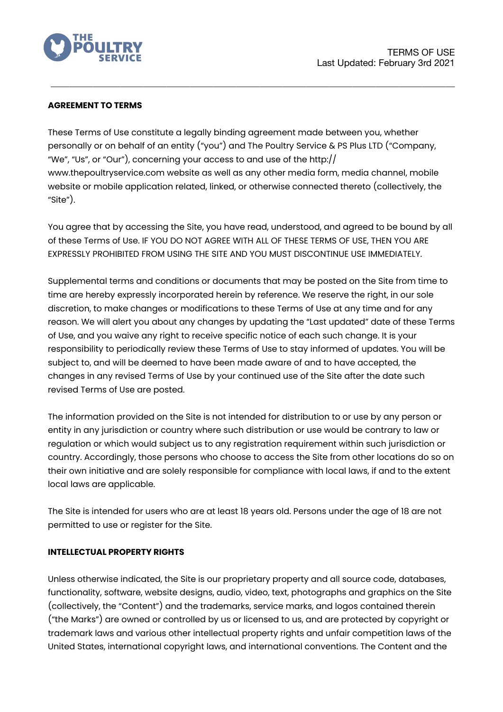



#### **AGREEMENT TO TERMS**

These Terms of Use constitute a legally binding agreement made between you, whether personally or on behalf of an entity ("you") and The Poultry Service & PS Plus LTD ("Company, "We", "Us", or "Our"), concerning your access to and use of the http:// www.thepoultryservice.com website as well as any other media form, media channel, mobile website or mobile application related, linked, or otherwise connected thereto (collectively, the "Site").

\_\_\_\_\_\_\_\_\_\_\_\_\_\_\_\_\_\_\_\_\_\_\_\_\_\_\_\_\_\_\_\_\_\_\_\_\_\_\_\_\_\_\_\_\_\_\_\_\_\_\_\_\_\_\_\_\_\_\_\_\_\_\_\_\_\_\_\_\_\_\_\_\_\_\_\_\_\_\_\_\_\_\_\_\_\_\_

You agree that by accessing the Site, you have read, understood, and agreed to be bound by all of these Terms of Use. IF YOU DO NOT AGREE WITH ALL OF THESE TERMS OF USE, THEN YOU ARE EXPRESSLY PROHIBITED FROM USING THE SITE AND YOU MUST DISCONTINUE USE IMMEDIATELY.

Supplemental terms and conditions or documents that may be posted on the Site from time to time are hereby expressly incorporated herein by reference. We reserve the right, in our sole discretion, to make changes or modifications to these Terms of Use at any time and for any reason. We will alert you about any changes by updating the "Last updated" date of these Terms of Use, and you waive any right to receive specific notice of each such change. It is your responsibility to periodically review these Terms of Use to stay informed of updates. You will be subject to, and will be deemed to have been made aware of and to have accepted, the changes in any revised Terms of Use by your continued use of the Site after the date such revised Terms of Use are posted.

The information provided on the Site is not intended for distribution to or use by any person or entity in any jurisdiction or country where such distribution or use would be contrary to law or regulation or which would subject us to any registration requirement within such jurisdiction or country. Accordingly, those persons who choose to access the Site from other locations do so on their own initiative and are solely responsible for compliance with local laws, if and to the extent local laws are applicable.

The Site is intended for users who are at least 18 years old. Persons under the age of 18 are not permitted to use or register for the Site.

# **INTELLECTUAL PROPERTY RIGHTS**

Unless otherwise indicated, the Site is our proprietary property and all source code, databases, functionality, software, website designs, audio, video, text, photographs and graphics on the Site (collectively, the "Content") and the trademarks, service marks, and logos contained therein ("the Marks") are owned or controlled by us or licensed to us, and are protected by copyright or trademark laws and various other intellectual property rights and unfair competition laws of the United States, international copyright laws, and international conventions. The Content and the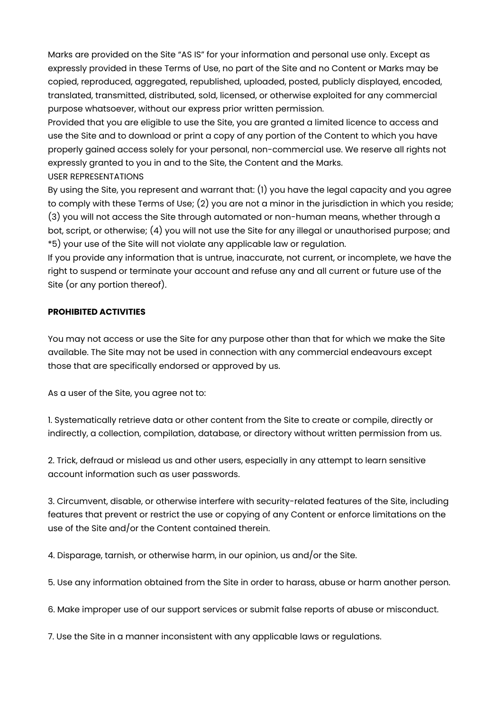Marks are provided on the Site "AS IS" for your information and personal use only. Except as expressly provided in these Terms of Use, no part of the Site and no Content or Marks may be copied, reproduced, aggregated, republished, uploaded, posted, publicly displayed, encoded, translated, transmitted, distributed, sold, licensed, or otherwise exploited for any commercial purpose whatsoever, without our express prior written permission.

Provided that you are eligible to use the Site, you are granted a limited licence to access and use the Site and to download or print a copy of any portion of the Content to which you have properly gained access solely for your personal, non-commercial use. We reserve all rights not expressly granted to you in and to the Site, the Content and the Marks.

USER REPRESENTATIONS

By using the Site, you represent and warrant that: (1) you have the legal capacity and you agree to comply with these Terms of Use; (2) you are not a minor in the jurisdiction in which you reside; (3) you will not access the Site through automated or non-human means, whether through a bot, script, or otherwise; (4) you will not use the Site for any illegal or unauthorised purpose; and \*5) your use of the Site will not violate any applicable law or regulation.

If you provide any information that is untrue, inaccurate, not current, or incomplete, we have the right to suspend or terminate your account and refuse any and all current or future use of the Site (or any portion thereof).

# **PROHIBITED ACTIVITIES**

You may not access or use the Site for any purpose other than that for which we make the Site available. The Site may not be used in connection with any commercial endeavours except those that are specifically endorsed or approved by us.

As a user of the Site, you agree not to:

1. Systematically retrieve data or other content from the Site to create or compile, directly or indirectly, a collection, compilation, database, or directory without written permission from us.

2. Trick, defraud or mislead us and other users, especially in any attempt to learn sensitive account information such as user passwords.

3. Circumvent, disable, or otherwise interfere with security-related features of the Site, including features that prevent or restrict the use or copying of any Content or enforce limitations on the use of the Site and/or the Content contained therein.

4. Disparage, tarnish, or otherwise harm, in our opinion, us and/or the Site.

5. Use any information obtained from the Site in order to harass, abuse or harm another person.

6. Make improper use of our support services or submit false reports of abuse or misconduct.

7. Use the Site in a manner inconsistent with any applicable laws or regulations.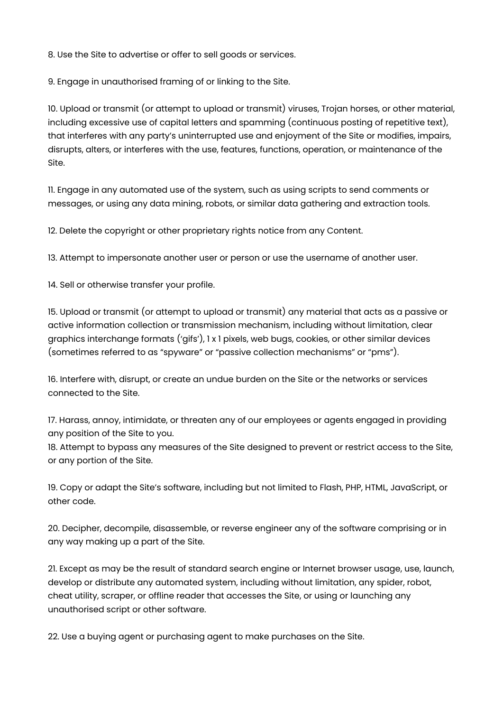8. Use the Site to advertise or offer to sell goods or services.

9. Engage in unauthorised framing of or linking to the Site.

10. Upload or transmit (or attempt to upload or transmit) viruses, Trojan horses, or other material, including excessive use of capital letters and spamming (continuous posting of repetitive text), that interferes with any party's uninterrupted use and enjoyment of the Site or modifies, impairs, disrupts, alters, or interferes with the use, features, functions, operation, or maintenance of the Site.

11. Engage in any automated use of the system, such as using scripts to send comments or messages, or using any data mining, robots, or similar data gathering and extraction tools.

12. Delete the copyright or other proprietary rights notice from any Content.

13. Attempt to impersonate another user or person or use the username of another user.

14. Sell or otherwise transfer your profile.

15. Upload or transmit (or attempt to upload or transmit) any material that acts as a passive or active information collection or transmission mechanism, including without limitation, clear graphics interchange formats ('gifs'), 1 x 1 pixels, web bugs, cookies, or other similar devices (sometimes referred to as "spyware" or "passive collection mechanisms" or "pms").

16. Interfere with, disrupt, or create an undue burden on the Site or the networks or services connected to the Site.

17. Harass, annoy, intimidate, or threaten any of our employees or agents engaged in providing any position of the Site to you.

18. Attempt to bypass any measures of the Site designed to prevent or restrict access to the Site, or any portion of the Site.

19. Copy or adapt the Site's software, including but not limited to Flash, PHP, HTML, JavaScript, or other code.

20. Decipher, decompile, disassemble, or reverse engineer any of the software comprising or in any way making up a part of the Site.

21. Except as may be the result of standard search engine or Internet browser usage, use, launch, develop or distribute any automated system, including without limitation, any spider, robot, cheat utility, scraper, or offline reader that accesses the Site, or using or launching any unauthorised script or other software.

22. Use a buying agent or purchasing agent to make purchases on the Site.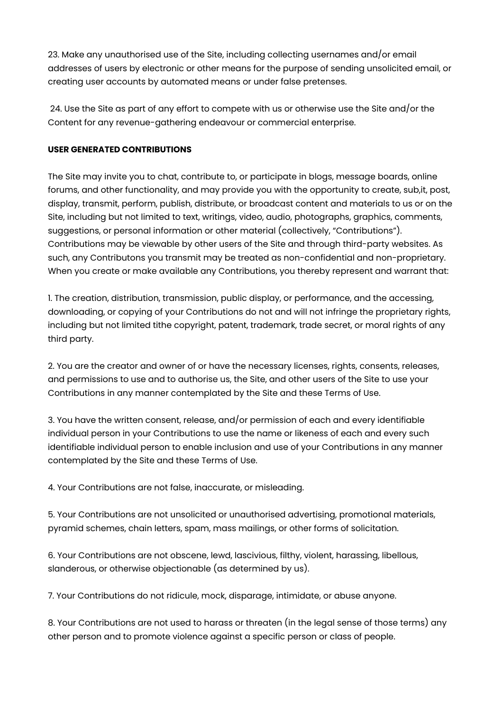23. Make any unauthorised use of the Site, including collecting usernames and/or email addresses of users by electronic or other means for the purpose of sending unsolicited email, or creating user accounts by automated means or under false pretenses.

 24. Use the Site as part of any effort to compete with us or otherwise use the Site and/or the Content for any revenue-gathering endeavour or commercial enterprise.

# **USER GENERATED CONTRIBUTIONS**

The Site may invite you to chat, contribute to, or participate in blogs, message boards, online forums, and other functionality, and may provide you with the opportunity to create, sub,it, post, display, transmit, perform, publish, distribute, or broadcast content and materials to us or on the Site, including but not limited to text, writings, video, audio, photographs, graphics, comments, suggestions, or personal information or other material (collectively, "Contributions"). Contributions may be viewable by other users of the Site and through third-party websites. As such, any Contributons you transmit may be treated as non-confidential and non-proprietary. When you create or make available any Contributions, you thereby represent and warrant that:

1. The creation, distribution, transmission, public display, or performance, and the accessing, downloading, or copying of your Contributions do not and will not infringe the proprietary rights, including but not limited tithe copyright, patent, trademark, trade secret, or moral rights of any third party.

2. You are the creator and owner of or have the necessary licenses, rights, consents, releases, and permissions to use and to authorise us, the Site, and other users of the Site to use your Contributions in any manner contemplated by the Site and these Terms of Use.

3. You have the written consent, release, and/or permission of each and every identifiable individual person in your Contributions to use the name or likeness of each and every such identifiable individual person to enable inclusion and use of your Contributions in any manner contemplated by the Site and these Terms of Use.

4. Your Contributions are not false, inaccurate, or misleading.

5. Your Contributions are not unsolicited or unauthorised advertising, promotional materials, pyramid schemes, chain letters, spam, mass mailings, or other forms of solicitation.

6. Your Contributions are not obscene, lewd, lascivious, filthy, violent, harassing, libellous, slanderous, or otherwise objectionable (as determined by us).

7. Your Contributions do not ridicule, mock, disparage, intimidate, or abuse anyone.

8. Your Contributions are not used to harass or threaten (in the legal sense of those terms) any other person and to promote violence against a specific person or class of people.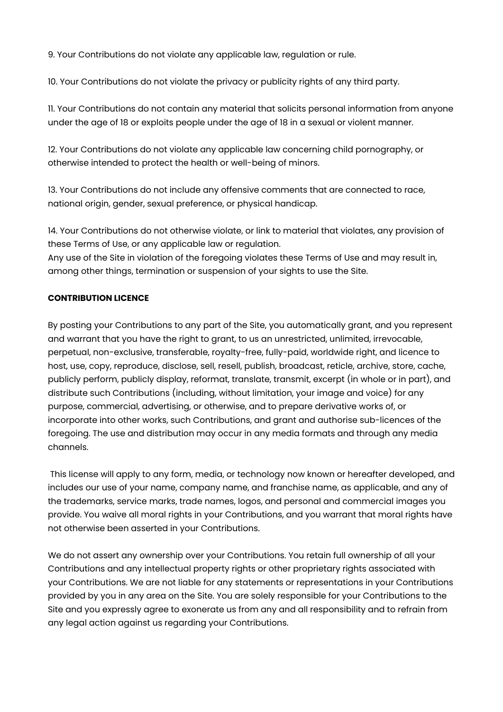9. Your Contributions do not violate any applicable law, regulation or rule.

10. Your Contributions do not violate the privacy or publicity rights of any third party.

11. Your Contributions do not contain any material that solicits personal information from anyone under the age of 18 or exploits people under the age of 18 in a sexual or violent manner.

12. Your Contributions do not violate any applicable law concerning child pornography, or otherwise intended to protect the health or well-being of minors.

13. Your Contributions do not include any offensive comments that are connected to race, national origin, gender, sexual preference, or physical handicap.

14. Your Contributions do not otherwise violate, or link to material that violates, any provision of these Terms of Use, or any applicable law or regulation.

Any use of the Site in violation of the foregoing violates these Terms of Use and may result in, among other things, termination or suspension of your sights to use the Site.

# **CONTRIBUTION LICENCE**

By posting your Contributions to any part of the Site, you automatically grant, and you represent and warrant that you have the right to grant, to us an unrestricted, unlimited, irrevocable, perpetual, non-exclusive, transferable, royalty-free, fully-paid, worldwide right, and licence to host, use, copy, reproduce, disclose, sell, resell, publish, broadcast, reticle, archive, store, cache, publicly perform, publicly display, reformat, translate, transmit, excerpt (in whole or in part), and distribute such Contributions (including, without limitation, your image and voice) for any purpose, commercial, advertising, or otherwise, and to prepare derivative works of, or incorporate into other works, such Contributions, and grant and authorise sub-licences of the foregoing. The use and distribution may occur in any media formats and through any media channels.

 This license will apply to any form, media, or technology now known or hereafter developed, and includes our use of your name, company name, and franchise name, as applicable, and any of the trademarks, service marks, trade names, logos, and personal and commercial images you provide. You waive all moral rights in your Contributions, and you warrant that moral rights have not otherwise been asserted in your Contributions.

We do not assert any ownership over your Contributions. You retain full ownership of all your Contributions and any intellectual property rights or other proprietary rights associated with your Contributions. We are not liable for any statements or representations in your Contributions provided by you in any area on the Site. You are solely responsible for your Contributions to the Site and you expressly agree to exonerate us from any and all responsibility and to refrain from any legal action against us regarding your Contributions.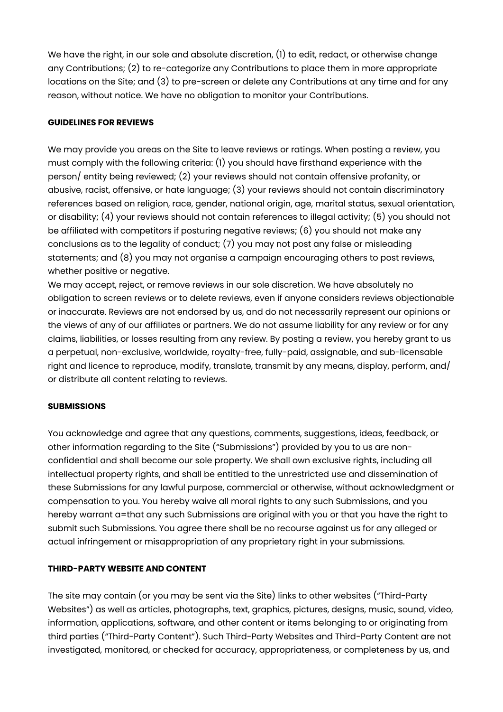We have the right, in our sole and absolute discretion, (1) to edit, redact, or otherwise change any Contributions; (2) to re-categorize any Contributions to place them in more appropriate locations on the Site; and (3) to pre-screen or delete any Contributions at any time and for any reason, without notice. We have no obligation to monitor your Contributions.

### **GUIDELINES FOR REVIEWS**

We may provide you areas on the Site to leave reviews or ratings. When posting a review, you must comply with the following criteria: (1) you should have firsthand experience with the person/ entity being reviewed; (2) your reviews should not contain offensive profanity, or abusive, racist, offensive, or hate language; (3) your reviews should not contain discriminatory references based on religion, race, gender, national origin, age, marital status, sexual orientation, or disability; (4) your reviews should not contain references to illegal activity; (5) you should not be affiliated with competitors if posturing negative reviews; (6) you should not make any conclusions as to the legality of conduct; (7) you may not post any false or misleading statements; and (8) you may not organise a campaign encouraging others to post reviews, whether positive or negative.

We may accept, reject, or remove reviews in our sole discretion. We have absolutely no obligation to screen reviews or to delete reviews, even if anyone considers reviews objectionable or inaccurate. Reviews are not endorsed by us, and do not necessarily represent our opinions or the views of any of our affiliates or partners. We do not assume liability for any review or for any claims, liabilities, or losses resulting from any review. By posting a review, you hereby grant to us a perpetual, non-exclusive, worldwide, royalty-free, fully-paid, assignable, and sub-licensable right and licence to reproduce, modify, translate, transmit by any means, display, perform, and/ or distribute all content relating to reviews.

#### **SUBMISSIONS**

You acknowledge and agree that any questions, comments, suggestions, ideas, feedback, or other information regarding to the Site ("Submissions") provided by you to us are nonconfidential and shall become our sole property. We shall own exclusive rights, including all intellectual property rights, and shall be entitled to the unrestricted use and dissemination of these Submissions for any lawful purpose, commercial or otherwise, without acknowledgment or compensation to you. You hereby waive all moral rights to any such Submissions, and you hereby warrant a=that any such Submissions are original with you or that you have the right to submit such Submissions. You agree there shall be no recourse against us for any alleged or actual infringement or misappropriation of any proprietary right in your submissions.

# **THIRD-PARTY WEBSITE AND CONTENT**

The site may contain (or you may be sent via the Site) links to other websites ("Third-Party Websites") as well as articles, photographs, text, graphics, pictures, designs, music, sound, video, information, applications, software, and other content or items belonging to or originating from third parties ("Third-Party Content"). Such Third-Party Websites and Third-Party Content are not investigated, monitored, or checked for accuracy, appropriateness, or completeness by us, and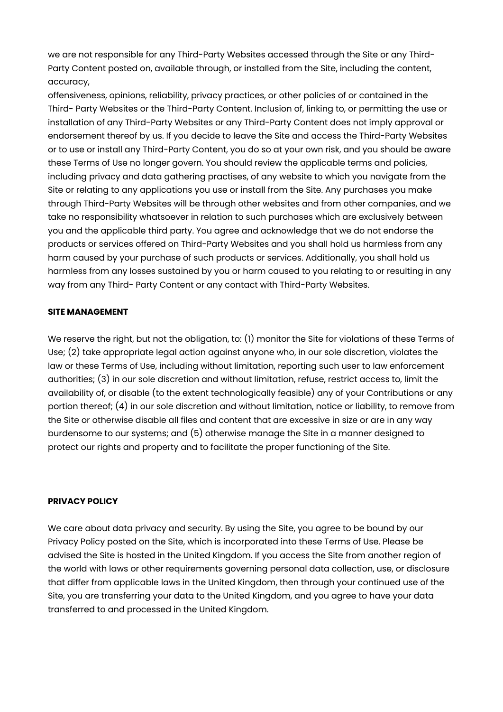we are not responsible for any Third-Party Websites accessed through the Site or any Third-Party Content posted on, available through, or installed from the Site, including the content, accuracy,

offensiveness, opinions, reliability, privacy practices, or other policies of or contained in the Third- Party Websites or the Third-Party Content. Inclusion of, linking to, or permitting the use or installation of any Third-Party Websites or any Third-Party Content does not imply approval or endorsement thereof by us. If you decide to leave the Site and access the Third-Party Websites or to use or install any Third-Party Content, you do so at your own risk, and you should be aware these Terms of Use no longer govern. You should review the applicable terms and policies, including privacy and data gathering practises, of any website to which you navigate from the Site or relating to any applications you use or install from the Site. Any purchases you make through Third-Party Websites will be through other websites and from other companies, and we take no responsibility whatsoever in relation to such purchases which are exclusively between you and the applicable third party. You agree and acknowledge that we do not endorse the products or services offered on Third-Party Websites and you shall hold us harmless from any harm caused by your purchase of such products or services. Additionally, you shall hold us harmless from any losses sustained by you or harm caused to you relating to or resulting in any way from any Third- Party Content or any contact with Third-Party Websites.

#### **SITE MANAGEMENT**

We reserve the right, but not the obligation, to: (1) monitor the Site for violations of these Terms of Use; (2) take appropriate legal action against anyone who, in our sole discretion, violates the law or these Terms of Use, including without limitation, reporting such user to law enforcement authorities; (3) in our sole discretion and without limitation, refuse, restrict access to, limit the availability of, or disable (to the extent technologically feasible) any of your Contributions or any portion thereof; (4) in our sole discretion and without limitation, notice or liability, to remove from the Site or otherwise disable all files and content that are excessive in size or are in any way burdensome to our systems; and (5) otherwise manage the Site in a manner designed to protect our rights and property and to facilitate the proper functioning of the Site.

#### **PRIVACY POLICY**

We care about data privacy and security. By using the Site, you agree to be bound by our Privacy Policy posted on the Site, which is incorporated into these Terms of Use. Please be advised the Site is hosted in the United Kingdom. If you access the Site from another region of the world with laws or other requirements governing personal data collection, use, or disclosure that differ from applicable laws in the United Kingdom, then through your continued use of the Site, you are transferring your data to the United Kingdom, and you agree to have your data transferred to and processed in the United Kingdom.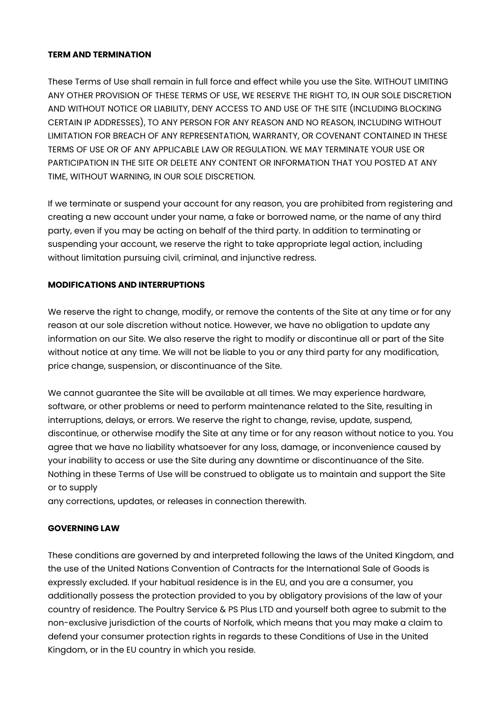### **TERM AND TERMINATION**

These Terms of Use shall remain in full force and effect while you use the Site. WITHOUT LIMITING ANY OTHER PROVISION OF THESE TERMS OF USE, WE RESERVE THE RIGHT TO, IN OUR SOLE DISCRETION AND WITHOUT NOTICE OR LIABILITY, DENY ACCESS TO AND USE OF THE SITE (INCLUDING BLOCKING CERTAIN IP ADDRESSES), TO ANY PERSON FOR ANY REASON AND NO REASON, INCLUDING WITHOUT LIMITATION FOR BREACH OF ANY REPRESENTATION, WARRANTY, OR COVENANT CONTAINED IN THESE TERMS OF USE OR OF ANY APPLICABLE LAW OR REGULATION. WE MAY TERMINATE YOUR USE OR PARTICIPATION IN THE SITE OR DELETE ANY CONTENT OR INFORMATION THAT YOU POSTED AT ANY TIME, WITHOUT WARNING, IN OUR SOLE DISCRETION.

If we terminate or suspend your account for any reason, you are prohibited from registering and creating a new account under your name, a fake or borrowed name, or the name of any third party, even if you may be acting on behalf of the third party. In addition to terminating or suspending your account, we reserve the right to take appropriate legal action, including without limitation pursuing civil, criminal, and injunctive redress.

#### **MODIFICATIONS AND INTERRUPTIONS**

We reserve the right to change, modify, or remove the contents of the Site at any time or for any reason at our sole discretion without notice. However, we have no obligation to update any information on our Site. We also reserve the right to modify or discontinue all or part of the Site without notice at any time. We will not be liable to you or any third party for any modification, price change, suspension, or discontinuance of the Site.

We cannot guarantee the Site will be available at all times. We may experience hardware, software, or other problems or need to perform maintenance related to the Site, resulting in interruptions, delays, or errors. We reserve the right to change, revise, update, suspend, discontinue, or otherwise modify the Site at any time or for any reason without notice to you. You agree that we have no liability whatsoever for any loss, damage, or inconvenience caused by your inability to access or use the Site during any downtime or discontinuance of the Site. Nothing in these Terms of Use will be construed to obligate us to maintain and support the Site or to supply

any corrections, updates, or releases in connection therewith.

#### **GOVERNING LAW**

These conditions are governed by and interpreted following the laws of the United Kingdom, and the use of the United Nations Convention of Contracts for the International Sale of Goods is expressly excluded. If your habitual residence is in the EU, and you are a consumer, you additionally possess the protection provided to you by obligatory provisions of the law of your country of residence. The Poultry Service & PS Plus LTD and yourself both agree to submit to the non-exclusive jurisdiction of the courts of Norfolk, which means that you may make a claim to defend your consumer protection rights in regards to these Conditions of Use in the United Kingdom, or in the EU country in which you reside.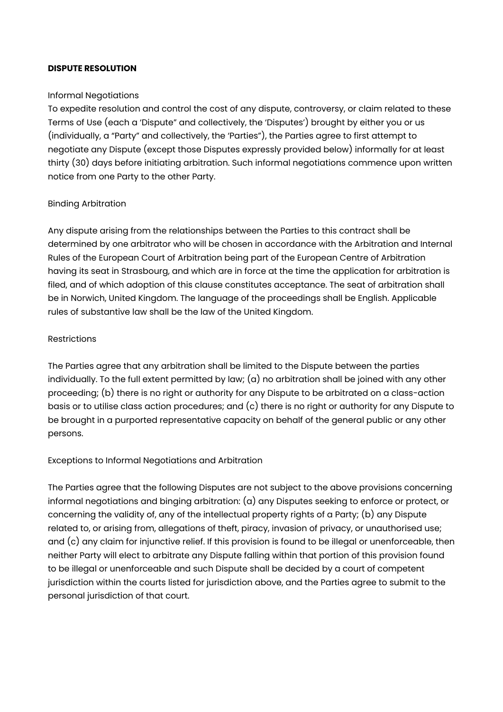#### **DISPUTE RESOLUTION**

#### Informal Negotiations

To expedite resolution and control the cost of any dispute, controversy, or claim related to these Terms of Use (each a 'Dispute" and collectively, the 'Disputes') brought by either you or us (individually, a "Party" and collectively, the 'Parties"), the Parties agree to first attempt to negotiate any Dispute (except those Disputes expressly provided below) informally for at least thirty (30) days before initiating arbitration. Such informal negotiations commence upon written notice from one Party to the other Party.

#### Binding Arbitration

Any dispute arising from the relationships between the Parties to this contract shall be determined by one arbitrator who will be chosen in accordance with the Arbitration and Internal Rules of the European Court of Arbitration being part of the European Centre of Arbitration having its seat in Strasbourg, and which are in force at the time the application for arbitration is filed, and of which adoption of this clause constitutes acceptance. The seat of arbitration shall be in Norwich, United Kingdom. The language of the proceedings shall be English. Applicable rules of substantive law shall be the law of the United Kingdom.

#### Restrictions

The Parties agree that any arbitration shall be limited to the Dispute between the parties individually. To the full extent permitted by law; (a) no arbitration shall be joined with any other proceeding; (b) there is no right or authority for any Dispute to be arbitrated on a class-action basis or to utilise class action procedures; and (c) there is no right or authority for any Dispute to be brought in a purported representative capacity on behalf of the general public or any other persons.

## Exceptions to Informal Negotiations and Arbitration

The Parties agree that the following Disputes are not subject to the above provisions concerning informal negotiations and binging arbitration: (a) any Disputes seeking to enforce or protect, or concerning the validity of, any of the intellectual property rights of a Party; (b) any Dispute related to, or arising from, allegations of theft, piracy, invasion of privacy, or unauthorised use; and (c) any claim for injunctive relief. If this provision is found to be illegal or unenforceable, then neither Party will elect to arbitrate any Dispute falling within that portion of this provision found to be illegal or unenforceable and such Dispute shall be decided by a court of competent jurisdiction within the courts listed for jurisdiction above, and the Parties agree to submit to the personal jurisdiction of that court.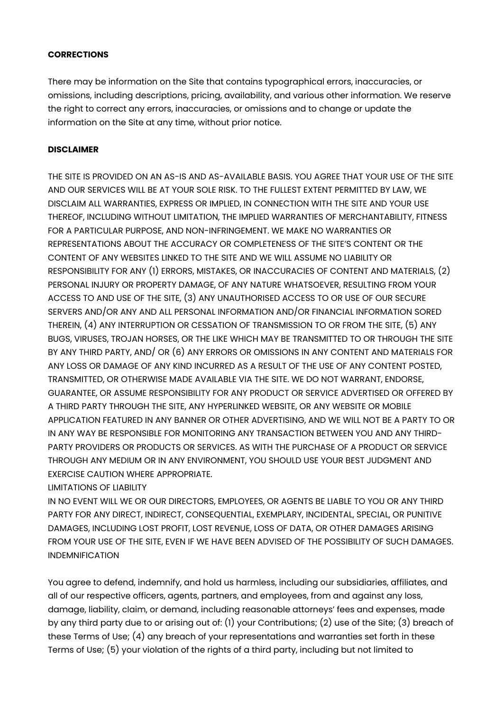### **CORRECTIONS**

There may be information on the Site that contains typographical errors, inaccuracies, or omissions, including descriptions, pricing, availability, and various other information. We reserve the right to correct any errors, inaccuracies, or omissions and to change or update the information on the Site at any time, without prior notice.

## **DISCLAIMER**

THE SITE IS PROVIDED ON AN AS-IS AND AS-AVAILABLE BASIS. YOU AGREE THAT YOUR USE OF THE SITE AND OUR SERVICES WILL BE AT YOUR SOLE RISK. TO THE FULLEST EXTENT PERMITTED BY LAW, WE DISCLAIM ALL WARRANTIES, EXPRESS OR IMPLIED, IN CONNECTION WITH THE SITE AND YOUR USE THEREOF, INCLUDING WITHOUT LIMITATION, THE IMPLIED WARRANTIES OF MERCHANTABILITY, FITNESS FOR A PARTICULAR PURPOSE, AND NON-INFRINGEMENT. WE MAKE NO WARRANTIES OR REPRESENTATIONS ABOUT THE ACCURACY OR COMPLETENESS OF THE SITE'S CONTENT OR THE CONTENT OF ANY WEBSITES LINKED TO THE SITE AND WE WILL ASSUME NO LIABILITY OR RESPONSIBILITY FOR ANY (1) ERRORS, MISTAKES, OR INACCURACIES OF CONTENT AND MATERIALS, (2) PERSONAL INJURY OR PROPERTY DAMAGE, OF ANY NATURE WHATSOEVER, RESULTING FROM YOUR ACCESS TO AND USE OF THE SITE, (3) ANY UNAUTHORISED ACCESS TO OR USE OF OUR SECURE SERVERS AND/OR ANY AND ALL PERSONAL INFORMATION AND/OR FINANCIAL INFORMATION SORED THEREIN, (4) ANY INTERRUPTION OR CESSATION OF TRANSMISSION TO OR FROM THE SITE, (5) ANY BUGS, VIRUSES, TROJAN HORSES, OR THE LIKE WHICH MAY BE TRANSMITTED TO OR THROUGH THE SITE BY ANY THIRD PARTY, AND/ OR (6) ANY ERRORS OR OMISSIONS IN ANY CONTENT AND MATERIALS FOR ANY LOSS OR DAMAGE OF ANY KIND INCURRED AS A RESULT OF THE USE OF ANY CONTENT POSTED, TRANSMITTED, OR OTHERWISE MADE AVAILABLE VIA THE SITE. WE DO NOT WARRANT, ENDORSE, GUARANTEE, OR ASSUME RESPONSIBILITY FOR ANY PRODUCT OR SERVICE ADVERTISED OR OFFERED BY A THIRD PARTY THROUGH THE SITE, ANY HYPERLINKED WEBSITE, OR ANY WEBSITE OR MOBILE APPLICATION FEATURED IN ANY BANNER OR OTHER ADVERTISING, AND WE WILL NOT BE A PARTY TO OR IN ANY WAY BE RESPONSIBLE FOR MONITORING ANY TRANSACTION BETWEEN YOU AND ANY THIRD-PARTY PROVIDERS OR PRODUCTS OR SERVICES. AS WITH THE PURCHASE OF A PRODUCT OR SERVICE THROUGH ANY MEDIUM OR IN ANY ENVIRONMENT, YOU SHOULD USE YOUR BEST JUDGMENT AND EXERCISE CAUTION WHERE APPROPRIATE.

## LIMITATIONS OF LIABILITY

IN NO EVENT WILL WE OR OUR DIRECTORS, EMPLOYEES, OR AGENTS BE LIABLE TO YOU OR ANY THIRD PARTY FOR ANY DIRECT, INDIRECT, CONSEQUENTIAL, EXEMPLARY, INCIDENTAL, SPECIAL, OR PUNITIVE DAMAGES, INCLUDING LOST PROFIT, LOST REVENUE, LOSS OF DATA, OR OTHER DAMAGES ARISING FROM YOUR USE OF THE SITE, EVEN IF WE HAVE BEEN ADVISED OF THE POSSIBILITY OF SUCH DAMAGES. INDEMNIFICATION

You agree to defend, indemnify, and hold us harmless, including our subsidiaries, affiliates, and all of our respective officers, agents, partners, and employees, from and against any loss, damage, liability, claim, or demand, including reasonable attorneys' fees and expenses, made by any third party due to or arising out of: (1) your Contributions; (2) use of the Site; (3) breach of these Terms of Use; (4) any breach of your representations and warranties set forth in these Terms of Use; (5) your violation of the rights of a third party, including but not limited to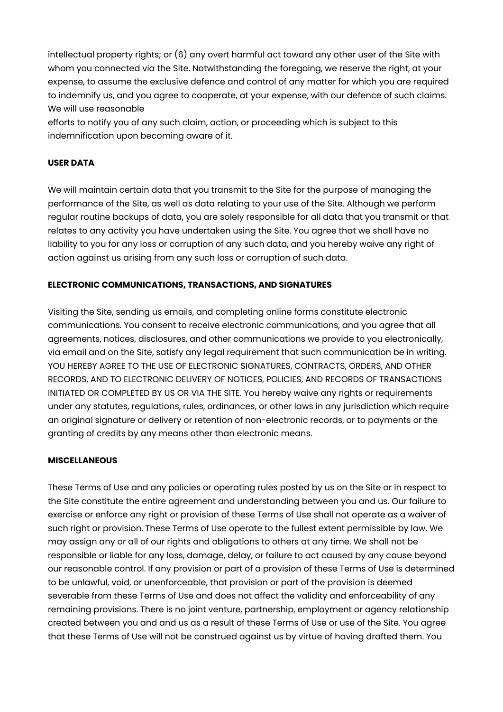intellectual property rights; or (6) any overt harmful act toward any other user of the Site with whom you connected via the Site. Notwithstanding the foregoing, we reserve the right, at your expense, to assume the exclusive defence and control of any matter for which you are required to indemnify us, and you agree to cooperate, at your expense, with our defence of such claims. We will use reasonable

efforts to notify you of any such claim, action, or proceeding which is subject to this indemnification upon becoming aware of it.

## **USER DATA**

We will maintain certain data that you transmit to the Site for the purpose of managing the performance of the Site, as well as data relating to your use of the Site. Although we perform regular routine backups of data, you are solely responsible for all data that you transmit or that relates to any activity you have undertaken using the Site. You agree that we shall have no liability to you for any loss or corruption of any such data, and you hereby waive any right of action against us arising from any such loss or corruption of such data.

#### **ELECTRONIC COMMUNICATIONS, TRANSACTIONS, AND SIGNATURES**

Visiting the Site, sending us emails, and completing online forms constitute electronic communications. You consent to receive electronic communications, and you agree that all agreements, notices, disclosures, and other communications we provide to you electronically, via email and on the Site, satisfy any legal requirement that such communication be in writing. YOU HEREBY AGREE TO THE USE OF ELECTRONIC SIGNATURES, CONTRACTS, ORDERS, AND OTHER RECORDS, AND TO ELECTRONIC DELIVERY OF NOTICES, POLICIES, AND RECORDS OF TRANSACTIONS INITIATED OR COMPLETED BY US OR VIA THE SITE. You hereby waive any rights or requirements under any statutes, regulations, rules, ordinances, or other laws in any jurisdiction which require an original signature or delivery or retention of non-electronic records, or to payments or the granting of credits by any means other than electronic means.

## **MISCELLANEOUS**

These Terms of Use and any policies or operating rules posted by us on the Site or in respect to the Site constitute the entire agreement and understanding between you and us. Our failure to exercise or enforce any right or provision of these Terms of Use shall not operate as a waiver of such right or provision. These Terms of Use operate to the fullest extent permissible by law. We may assign any or all of our rights and obligations to others at any time. We shall not be responsible or liable for any loss, damage, delay, or failure to act caused by any cause beyond our reasonable control. If any provision or part of a provision of these Terms of Use is determined to be unlawful, void, or unenforceable, that provision or part of the provision is deemed severable from these Terms of Use and does not affect the validity and enforceability of any remaining provisions. There is no joint venture, partnership, employment or agency relationship created between you and and us as a result of these Terms of Use or use of the Site. You agree that these Terms of Use will not be construed against us by virtue of having drafted them. You